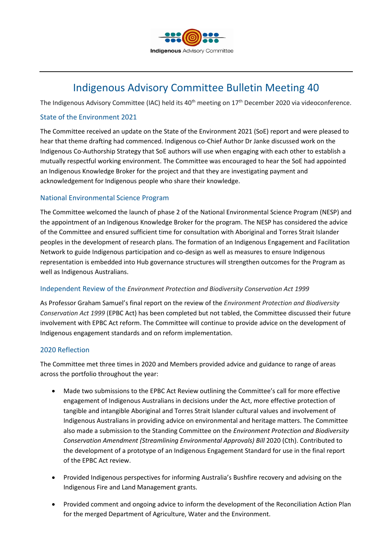

# Indigenous Advisory Committee Bulletin Meeting 40

The Indigenous Advisory Committee (IAC) held its 40<sup>th</sup> meeting on 17<sup>th</sup> December 2020 via videoconference.

### State of the Environment 2021

The Committee received an update on the State of the Environment 2021 (SoE) report and were pleased to hear that theme drafting had commenced. Indigenous co-Chief Author Dr Janke discussed work on the Indigenous Co-Authorship Strategy that SoE authors will use when engaging with each other to establish a mutually respectful working environment. The Committee was encouraged to hear the SoE had appointed an Indigenous Knowledge Broker for the project and that they are investigating payment and acknowledgement for Indigenous people who share their knowledge.

## National Environmental Science Program

The Committee welcomed the launch of phase 2 of the National Environmental Science Program (NESP) and the appointment of an Indigenous Knowledge Broker for the program. The NESP has considered the advice of the Committee and ensured sufficient time for consultation with Aboriginal and Torres Strait Islander peoples in the development of research plans. The formation of an Indigenous Engagement and Facilitation Network to guide Indigenous participation and co-design as well as measures to ensure Indigenous representation is embedded into Hub governance structures will strengthen outcomes for the Program as well as Indigenous Australians.

#### Independent Review of the *Environment Protection and Biodiversity Conservation Act 1999*

As Professor Graham Samuel's final report on the review of the *Environment Protection and Biodiversity Conservation Act 1999* (EPBC Act) has been completed but not tabled, the Committee discussed their future involvement with EPBC Act reform. The Committee will continue to provide advice on the development of Indigenous engagement standards and on reform implementation.

#### 2020 Reflection

The Committee met three times in 2020 and Members provided advice and guidance to range of areas across the portfolio throughout the year:

- Made two submissions to the EPBC Act Review outlining the Committee's call for more effective engagement of Indigenous Australians in decisions under the Act, more effective protection of tangible and intangible Aboriginal and Torres Strait Islander cultural values and involvement of Indigenous Australians in providing advice on environmental and heritage matters. The Committee also made a submission to the Standing Committee on the *Environment Protection and Biodiversity Conservation Amendment (Streamlining Environmental Approvals) Bill* 2020 (Cth). Contributed to the development of a prototype of an Indigenous Engagement Standard for use in the final report of the EPBC Act review.
- Provided Indigenous perspectives for informing Australia's Bushfire recovery and advising on the Indigenous Fire and Land Management grants.
- Provided comment and ongoing advice to inform the development of the Reconciliation Action Plan for the merged Department of Agriculture, Water and the Environment.